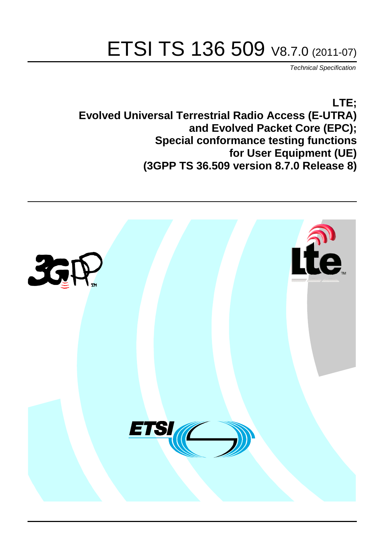# ETSI TS 136 509 V8.7.0 (2011-07)

*Technical Specification*

**LTE; Evolved Universal Terrestrial Radio Access (E-UTRA) and Evolved Packet Core (EPC); Special conformance testing functions for User Equipment (UE) (3GPP TS 36.509 version 8.7.0 Release 8)**

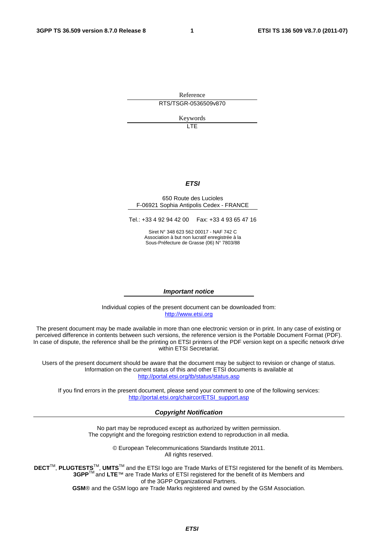Reference RTS/TSGR-0536509v870

Keywords

LTE

#### *ETSI*

#### 650 Route des Lucioles F-06921 Sophia Antipolis Cedex - FRANCE

Tel.: +33 4 92 94 42 00 Fax: +33 4 93 65 47 16

Siret N° 348 623 562 00017 - NAF 742 C Association à but non lucratif enregistrée à la Sous-Préfecture de Grasse (06) N° 7803/88

#### *Important notice*

Individual copies of the present document can be downloaded from: [http://www.etsi.org](http://www.etsi.org/)

The present document may be made available in more than one electronic version or in print. In any case of existing or perceived difference in contents between such versions, the reference version is the Portable Document Format (PDF). In case of dispute, the reference shall be the printing on ETSI printers of the PDF version kept on a specific network drive within ETSI Secretariat.

Users of the present document should be aware that the document may be subject to revision or change of status. Information on the current status of this and other ETSI documents is available at <http://portal.etsi.org/tb/status/status.asp>

If you find errors in the present document, please send your comment to one of the following services: [http://portal.etsi.org/chaircor/ETSI\\_support.asp](http://portal.etsi.org/chaircor/ETSI_support.asp)

#### *Copyright Notification*

No part may be reproduced except as authorized by written permission. The copyright and the foregoing restriction extend to reproduction in all media.

> © European Telecommunications Standards Institute 2011. All rights reserved.

DECT<sup>™</sup>, PLUGTESTS<sup>™</sup>, UMTS<sup>™</sup> and the ETSI logo are Trade Marks of ETSI registered for the benefit of its Members. **3GPP**TM and **LTE**™ are Trade Marks of ETSI registered for the benefit of its Members and of the 3GPP Organizational Partners.

**GSM**® and the GSM logo are Trade Marks registered and owned by the GSM Association.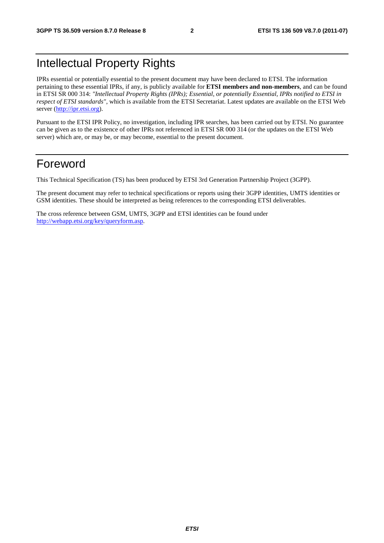# Intellectual Property Rights

IPRs essential or potentially essential to the present document may have been declared to ETSI. The information pertaining to these essential IPRs, if any, is publicly available for **ETSI members and non-members**, and can be found in ETSI SR 000 314: *"Intellectual Property Rights (IPRs); Essential, or potentially Essential, IPRs notified to ETSI in respect of ETSI standards"*, which is available from the ETSI Secretariat. Latest updates are available on the ETSI Web server [\(http://ipr.etsi.org](http://webapp.etsi.org/IPR/home.asp)).

Pursuant to the ETSI IPR Policy, no investigation, including IPR searches, has been carried out by ETSI. No guarantee can be given as to the existence of other IPRs not referenced in ETSI SR 000 314 (or the updates on the ETSI Web server) which are, or may be, or may become, essential to the present document.

### Foreword

This Technical Specification (TS) has been produced by ETSI 3rd Generation Partnership Project (3GPP).

The present document may refer to technical specifications or reports using their 3GPP identities, UMTS identities or GSM identities. These should be interpreted as being references to the corresponding ETSI deliverables.

The cross reference between GSM, UMTS, 3GPP and ETSI identities can be found under <http://webapp.etsi.org/key/queryform.asp>.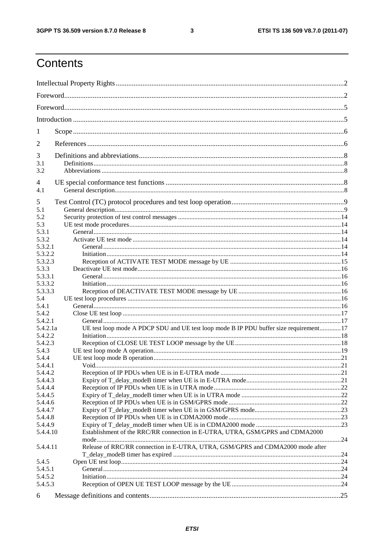#### $\mathbf{3}$

# Contents

| 1                  |                                                                                       |            |
|--------------------|---------------------------------------------------------------------------------------|------------|
| 2                  |                                                                                       |            |
| 3                  |                                                                                       |            |
| 3.1                |                                                                                       |            |
| 3.2                |                                                                                       |            |
| 4                  |                                                                                       |            |
| 4.1                |                                                                                       |            |
| 5                  |                                                                                       |            |
| 5.1<br>5.2         |                                                                                       |            |
| 5.3                |                                                                                       |            |
| 5.3.1              |                                                                                       |            |
| 5.3.2              |                                                                                       |            |
| 5.3.2.1            |                                                                                       |            |
| 5.3.2.2            |                                                                                       |            |
| 5.3.2.3            |                                                                                       |            |
| 5.3.3              |                                                                                       |            |
| 5.3.3.1<br>5.3.3.2 |                                                                                       |            |
| 5.3.3.3            |                                                                                       |            |
| 5.4                |                                                                                       |            |
| 5.4.1              |                                                                                       |            |
| 5.4.2              |                                                                                       |            |
| 5.4.2.1            |                                                                                       |            |
| 5.4.2.1a           | UE test loop mode A PDCP SDU and UE test loop mode B IP PDU buffer size requirement17 |            |
| 5.4.2.2            |                                                                                       |            |
| 5.4.2.3            |                                                                                       |            |
| 5.4.3              |                                                                                       |            |
| 5.4.4              |                                                                                       |            |
| 5.4.4.1<br>5.4.4.2 | Void                                                                                  | $\cdot$ 21 |
| 5.4.4.3            |                                                                                       |            |
| 5.4.4.4            |                                                                                       |            |
| 5.4.4.5            |                                                                                       |            |
| 5.4.4.6            |                                                                                       |            |
| 5.4.4.7            |                                                                                       |            |
| 5.4.4.8            |                                                                                       |            |
| 5.4.4.9            |                                                                                       |            |
| 5.4.4.10           | Establishment of the RRC/RR connection in E-UTRA, UTRA, GSM/GPRS and CDMA2000         |            |
| 5.4.4.11           | Release of RRC/RR connection in E-UTRA, UTRA, GSM/GPRS and CDMA2000 mode after        |            |
|                    |                                                                                       |            |
| 5.4.5              |                                                                                       |            |
| 5.4.5.1            |                                                                                       |            |
| 5.4.5.2            |                                                                                       |            |
| 5.4.5.3            |                                                                                       |            |
| 6                  |                                                                                       |            |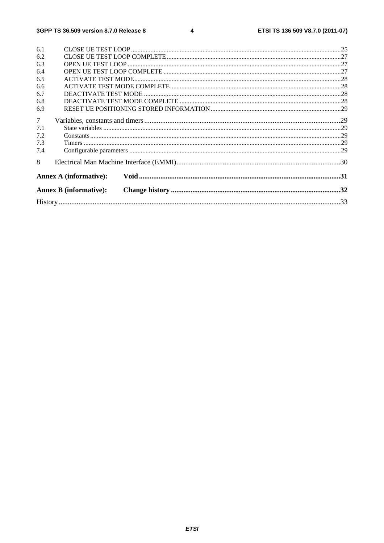| 6.1             |                               |  |
|-----------------|-------------------------------|--|
| 6.2             |                               |  |
| 6.3             |                               |  |
| 6.4             |                               |  |
| 6.5             |                               |  |
| 6.6             |                               |  |
| 6.7             |                               |  |
| 6.8             |                               |  |
| 6.9             |                               |  |
| $7\overline{ }$ |                               |  |
| 7.1             |                               |  |
| 7.2             |                               |  |
| 7.3             |                               |  |
| 7.4             |                               |  |
| 8               |                               |  |
|                 | <b>Annex A (informative):</b> |  |
|                 | <b>Annex B</b> (informative): |  |
|                 |                               |  |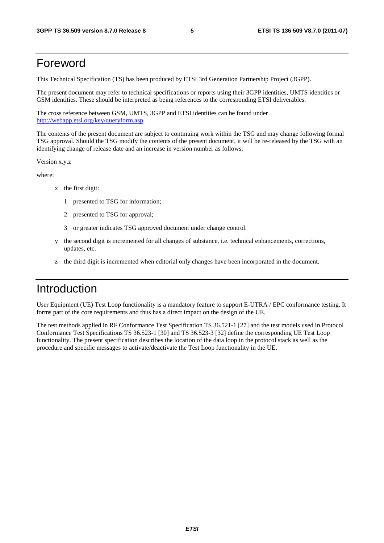### Foreword

This Technical Specification (TS) has been produced by ETSI 3rd Generation Partnership Project (3GPP).

The present document may refer to technical specifications or reports using their 3GPP identities, UMTS identities or GSM identities. These should be interpreted as being references to the corresponding ETSI deliverables.

The cross reference between GSM, UMTS, 3GPP and ETSI identities can be found under <http://webapp.etsi.org/key/queryform.asp>.

The contents of the present document are subject to continuing work within the TSG and may change following formal TSG approval. Should the TSG modify the contents of the present document, it will be re-released by the TSG with an identifying change of release date and an increase in version number as follows:

Version x.y.z

where:

- x the first digit:
	- 1 presented to TSG for information;
	- 2 presented to TSG for approval;
	- 3 or greater indicates TSG approved document under change control.
- y the second digit is incremented for all changes of substance, i.e. technical enhancements, corrections, updates, etc.
- the third digit is incremented when editorial only changes have been incorporated in the document.

# Introduction

User Equipment (UE) Test Loop functionality is a mandatory feature to support E-UTRA / EPC conformance testing. It forms part of the core requirements and thus has a direct impact on the design of the UE.

The test methods applied in RF Conformance Test Specification TS 36.521-1 [27] and the test models used in Protocol Conformance Test Specifications TS 36.523-1 [30] and TS 36.523-3 [32] define the corresponding UE Test Loop functionality. The present specification describes the location of the data loop in the protocol stack as well as the procedure and specific messages to activate/deactivate the Test Loop functionality in the UE.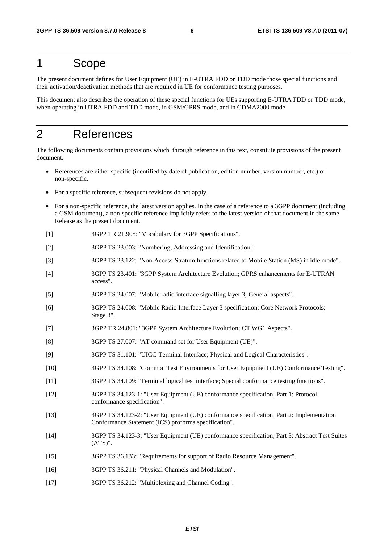### 1 Scope

The present document defines for User Equipment (UE) in E-UTRA FDD or TDD mode those special functions and their activation/deactivation methods that are required in UE for conformance testing purposes.

This document also describes the operation of these special functions for UEs supporting E-UTRA FDD or TDD mode, when operating in UTRA FDD and TDD mode, in GSM/GPRS mode, and in CDMA2000 mode.

### 2 References

The following documents contain provisions which, through reference in this text, constitute provisions of the present document.

- References are either specific (identified by date of publication, edition number, version number, etc.) or non-specific.
- For a specific reference, subsequent revisions do not apply.
- For a non-specific reference, the latest version applies. In the case of a reference to a 3GPP document (including a GSM document), a non-specific reference implicitly refers to the latest version of that document in the same Release as the present document.
- [1] 3GPP TR 21.905: "Vocabulary for 3GPP Specifications".
- [2] 3GPP TS 23.003: "Numbering, Addressing and Identification".
- [3] 3GPP TS 23.122: "Non-Access-Stratum functions related to Mobile Station (MS) in idle mode".
- [4] 3GPP TS 23.401: "3GPP System Architecture Evolution; GPRS enhancements for E-UTRAN access".
- [5] 3GPP TS 24.007: "Mobile radio interface signalling layer 3; General aspects".
- [6] 3GPP TS 24.008: "Mobile Radio Interface Layer 3 specification; Core Network Protocols; Stage 3".
- [7] 3GPP TR 24.801: "3GPP System Architecture Evolution; CT WG1 Aspects".
- [8] 3GPP TS 27.007: "AT command set for User Equipment (UE)".
- [9] 3GPP TS 31.101: "UICC-Terminal Interface; Physical and Logical Characteristics".
- [10] 3GPP TS 34.108: "Common Test Environments for User Equipment (UE) Conformance Testing".
- [11] 3GPP TS 34.109: "Terminal logical test interface; Special conformance testing functions".
- [12] 3GPP TS 34.123-1: "User Equipment (UE) conformance specification; Part 1: Protocol conformance specification".
- [13] 3GPP TS 34.123-2: "User Equipment (UE) conformance specification; Part 2: Implementation Conformance Statement (ICS) proforma specification".
- [14] 3GPP TS 34.123-3: "User Equipment (UE) conformance specification; Part 3: Abstract Test Suites (ATS)".
- [15] 3GPP TS 36.133: "Requirements for support of Radio Resource Management".
- [16] 3GPP TS 36.211: "Physical Channels and Modulation".
- [17] 3GPP TS 36.212: "Multiplexing and Channel Coding".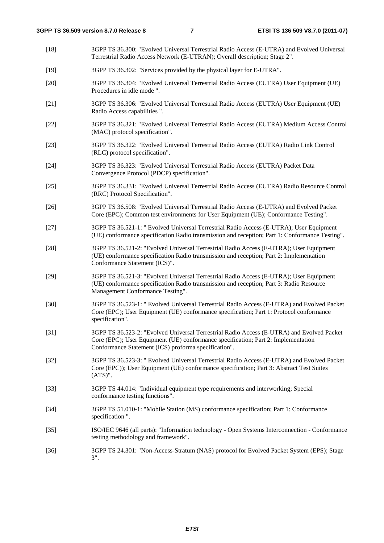[18] 3GPP TS 36.300: "Evolved Universal Terrestrial Radio Access (E-UTRA) and Evolved Universal Terrestrial Radio Access Network (E-UTRAN); Overall description; Stage 2". [19] 3GPP TS 36.302: "Services provided by the physical layer for E-UTRA". [20] 3GPP TS 36.304: "Evolved Universal Terrestrial Radio Access (EUTRA) User Equipment (UE) Procedures in idle mode ". [21] 3GPP TS 36.306: "Evolved Universal Terrestrial Radio Access (EUTRA) User Equipment (UE) Radio Access capabilities ". [22] 3GPP TS 36.321: "Evolved Universal Terrestrial Radio Access (EUTRA) Medium Access Control (MAC) protocol specification". [23] 3GPP TS 36.322: "Evolved Universal Terrestrial Radio Access (EUTRA) Radio Link Control (RLC) protocol specification". [24] 3GPP TS 36.323: "Evolved Universal Terrestrial Radio Access (EUTRA) Packet Data Convergence Protocol (PDCP) specification". [25] 3GPP TS 36.331: "Evolved Universal Terrestrial Radio Access (EUTRA) Radio Resource Control (RRC) Protocol Specification". [26] 3GPP TS 36.508: "Evolved Universal Terrestrial Radio Access (E-UTRA) and Evolved Packet Core (EPC); Common test environments for User Equipment (UE); Conformance Testing". [27] 3GPP TS 36.521-1: " Evolved Universal Terrestrial Radio Access (E-UTRA); User Equipment (UE) conformance specification Radio transmission and reception; Part 1: Conformance Testing". [28] 3GPP TS 36.521-2: "Evolved Universal Terrestrial Radio Access (E-UTRA); User Equipment (UE) conformance specification Radio transmission and reception; Part 2: Implementation Conformance Statement (ICS)". [29] 3GPP TS 36.521-3: "Evolved Universal Terrestrial Radio Access (E-UTRA); User Equipment (UE) conformance specification Radio transmission and reception; Part 3: Radio Resource Management Conformance Testing". [30] 3GPP TS 36.523-1: " Evolved Universal Terrestrial Radio Access (E-UTRA) and Evolved Packet Core (EPC); User Equipment (UE) conformance specification; Part 1: Protocol conformance specification". [31] 3GPP TS 36.523-2: "Evolved Universal Terrestrial Radio Access (E-UTRA) and Evolved Packet Core (EPC); User Equipment (UE) conformance specification; Part 2: Implementation Conformance Statement (ICS) proforma specification". [32] 3GPP TS 36.523-3: " Evolved Universal Terrestrial Radio Access (E-UTRA) and Evolved Packet Core (EPC)); User Equipment (UE) conformance specification; Part 3: Abstract Test Suites (ATS)". [33] 3GPP TS 44.014: "Individual equipment type requirements and interworking; Special conformance testing functions". [34] 3GPP TS 51.010-1: "Mobile Station (MS) conformance specification; Part 1: Conformance specification ". [35] ISO/IEC 9646 (all parts): "Information technology - Open Systems Interconnection - Conformance testing methodology and framework". [36] 3GPP TS 24.301: "Non-Access-Stratum (NAS) protocol for Evolved Packet System (EPS); Stage 3".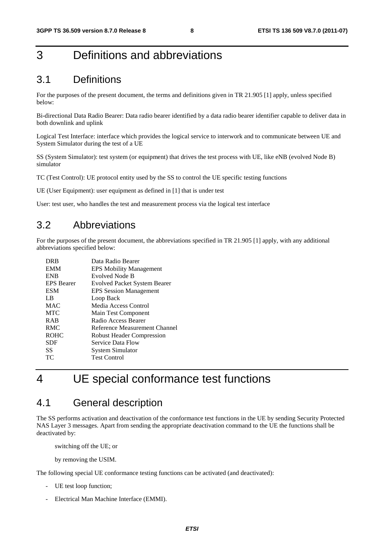# 3 Definitions and abbreviations

### 3.1 Definitions

For the purposes of the present document, the terms and definitions given in TR 21.905 [1] apply, unless specified below:

Bi-directional Data Radio Bearer: Data radio bearer identified by a data radio bearer identifier capable to deliver data in both downlink and uplink

Logical Test Interface: interface which provides the logical service to interwork and to communicate between UE and System Simulator during the test of a UE

SS (System Simulator): test system (or equipment) that drives the test process with UE, like eNB (evolved Node B) simulator

TC (Test Control): UE protocol entity used by the SS to control the UE specific testing functions

UE (User Equipment): user equipment as defined in [1] that is under test

User: test user, who handles the test and measurement process via the logical test interface

### 3.2 Abbreviations

For the purposes of the present document, the abbreviations specified in TR 21.905 [1] apply, with any additional abbreviations specified below:

| <b>DRB</b>        | Data Radio Bearer                   |
|-------------------|-------------------------------------|
| <b>EMM</b>        | <b>EPS Mobility Management</b>      |
| <b>ENB</b>        | Evolved Node B                      |
| <b>EPS</b> Bearer | <b>Evolved Packet System Bearer</b> |
| <b>ESM</b>        | <b>EPS Session Management</b>       |
| LB.               | Loop Back                           |
| <b>MAC</b>        | Media Access Control                |
| <b>MTC</b>        | Main Test Component                 |
| <b>RAB</b>        | Radio Access Bearer                 |
| <b>RMC</b>        | Reference Measurement Channel       |
| <b>ROHC</b>       | <b>Robust Header Compression</b>    |
| <b>SDF</b>        | Service Data Flow                   |
| SS                | <b>System Simulator</b>             |
| ТC                | <b>Test Control</b>                 |
|                   |                                     |

# 4 UE special conformance test functions

### 4.1 General description

The SS performs activation and deactivation of the conformance test functions in the UE by sending Security Protected NAS Layer 3 messages. Apart from sending the appropriate deactivation command to the UE the functions shall be deactivated by:

switching off the UE; or

by removing the USIM.

The following special UE conformance testing functions can be activated (and deactivated):

- UE test loop function;
- Electrical Man Machine Interface (EMMI).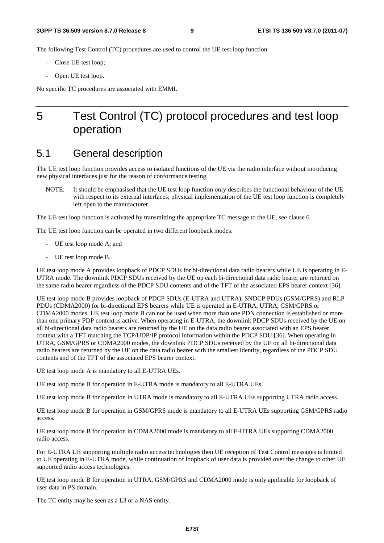The following Test Control (TC) procedures are used to control the UE test loop function:

- Close UE test loop;
- Open UE test loop.

No specific TC procedures are associated with EMMI.

# 5 Test Control (TC) protocol procedures and test loop operation

### 5.1 General description

The UE test loop function provides access to isolated functions of the UE via the radio interface without introducing new physical interfaces just for the reason of conformance testing.

NOTE: It should be emphasised that the UE test loop function only describes the functional behaviour of the UE with respect to its external interfaces; physical implementation of the UE test loop function is completely left open to the manufacturer.

The UE test loop function is activated by transmitting the appropriate TC message to the UE, see clause 6.

The UE test loop function can be operated in two different loopback modes:

- UE test loop mode A; and
- UE test loop mode B.

UE test loop mode A provides loopback of PDCP SDUs for bi-directional data radio bearers while UE is operating in E-UTRA mode. The downlink PDCP SDUs received by the UE on each bi-directional data radio bearer are returned on the same radio bearer regardless of the PDCP SDU contents and of the TFT of the associated EPS bearer context [36].

UE test loop mode B provides loopback of PDCP SDUs (E-UTRA and UTRA), SNDCP PDUs (GSM/GPRS) and RLP PDUs (CDMA2000) for bi-directional EPS bearers while UE is operated in E-UTRA, UTRA, GSM/GPRS or CDMA2000 modes. UE test loop mode B can not be used when more than one PDN connection is established or more than one primary PDP context is active. When operating in E-UTRA, the downlink PDCP SDUs received by the UE on all bi-directional data radio bearers are returned by the UE on the data radio bearer associated with an EPS bearer context with a TFT matching the TCP/UDP/IP protocol information within the PDCP SDU [36]. When operating in UTRA, GSM/GPRS or CDMA2000 modes, the downlink PDCP SDUs received by the UE on all bi-directional data radio bearers are returned by the UE on the data radio bearer with the smallest identity, regardless of the PDCP SDU contents and of the TFT of the associated EPS bearer context.

UE test loop mode A is mandatory to all E-UTRA UEs.

UE test loop mode B for operation in E-UTRA mode is mandatory to all E-UTRA UEs.

UE test loop mode B for operation in UTRA mode is mandatory to all E-UTRA UEs supporting UTRA radio access.

UE test loop mode B for operation in GSM/GPRS mode is mandatory to all E-UTRA UEs supporting GSM/GPRS radio access.

UE test loop mode B for operation in CDMA2000 mode is mandatory to all E-UTRA UEs supporting CDMA2000 radio access.

For E-UTRA UE supporting multiple radio access technologies then UE reception of Test Control messages is limited to UE operating in E-UTRA mode, while continuation of loopback of user data is provided over the change to other UE supported radio access technologies.

UE test loop mode B for operation in UTRA, GSM/GPRS and CDMA2000 mode is only applicable for loopback of user data in PS domain.

The TC entity may be seen as a L3 or a NAS entity.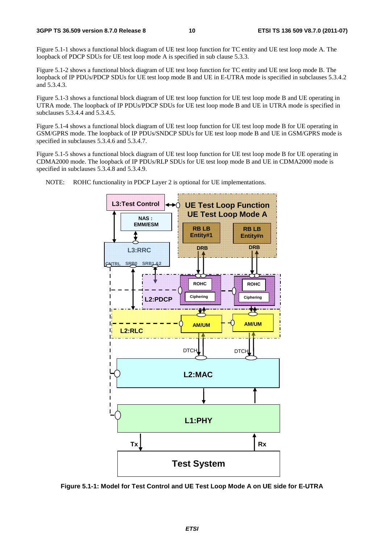Figure 5.1-1 shows a functional block diagram of UE test loop function for TC entity and UE test loop mode A. The loopback of PDCP SDUs for UE test loop mode A is specified in sub clause 5.3.3.

Figure 5.1-2 shows a functional block diagram of UE test loop function for TC entity and UE test loop mode B. The loopback of IP PDUs/PDCP SDUs for UE test loop mode B and UE in E-UTRA mode is specified in subclauses 5.3.4.2 and 5.3.4.3.

Figure 5.1-3 shows a functional block diagram of UE test loop function for UE test loop mode B and UE operating in UTRA mode. The loopback of IP PDUs/PDCP SDUs for UE test loop mode B and UE in UTRA mode is specified in subclauses 5.3.4.4 and 5.3.4.5.

Figure 5.1-4 shows a functional block diagram of UE test loop function for UE test loop mode B for UE operating in GSM/GPRS mode. The loopback of IP PDUs/SNDCP SDUs for UE test loop mode B and UE in GSM/GPRS mode is specified in subclauses 5.3.4.6 and 5.3.4.7.

Figure 5.1-5 shows a functional block diagram of UE test loop function for UE test loop mode B for UE operating in CDMA2000 mode. The loopback of IP PDUs/RLP SDUs for UE test loop mode B and UE in CDMA2000 mode is specified in subclauses 5.3.4.8 and 5.3.4.9.



NOTE: ROHC functionality in PDCP Layer 2 is optional for UE implementations.

**Figure 5.1-1: Model for Test Control and UE Test Loop Mode A on UE side for E-UTRA**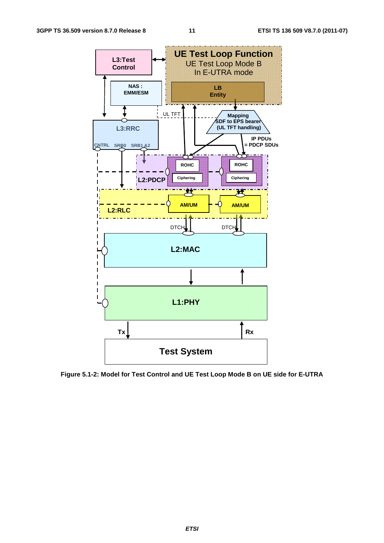

**Figure 5.1-2: Model for Test Control and UE Test Loop Mode B on UE side for E-UTRA**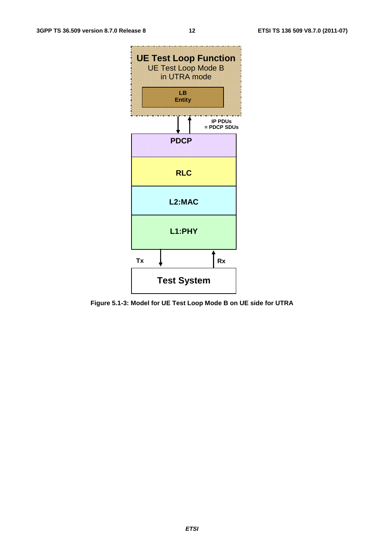![](_page_12_Figure_3.jpeg)

**Figure 5.1-3: Model for UE Test Loop Mode B on UE side for UTRA**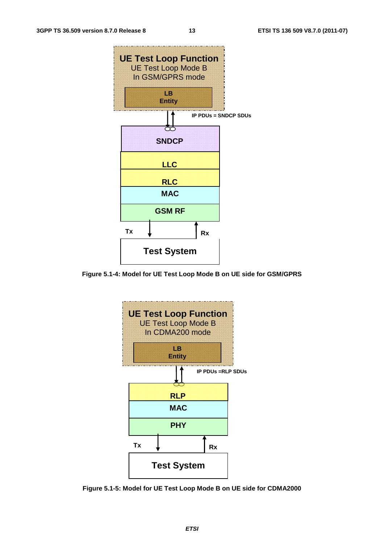![](_page_13_Figure_3.jpeg)

**Figure 5.1-4: Model for UE Test Loop Mode B on UE side for GSM/GPRS** 

![](_page_13_Figure_5.jpeg)

**Figure 5.1-5: Model for UE Test Loop Mode B on UE side for CDMA2000**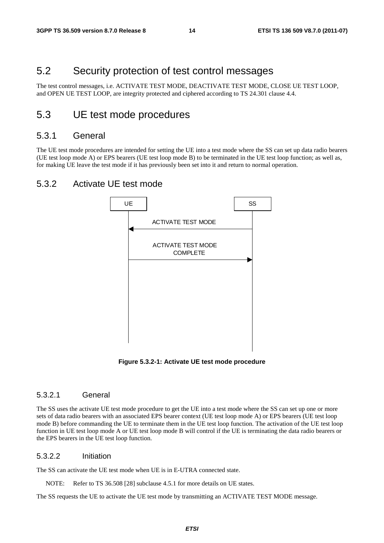### 5.2 Security protection of test control messages

The test control messages, i.e. ACTIVATE TEST MODE, DEACTIVATE TEST MODE, CLOSE UE TEST LOOP, and OPEN UE TEST LOOP, are integrity protected and ciphered according to TS 24.301 clause 4.4.

### 5.3 UE test mode procedures

#### 5.3.1 General

The UE test mode procedures are intended for setting the UE into a test mode where the SS can set up data radio bearers (UE test loop mode A) or EPS bearers (UE test loop mode B) to be terminated in the UE test loop function; as well as, for making UE leave the test mode if it has previously been set into it and return to normal operation.

#### 5.3.2 Activate UE test mode

![](_page_14_Figure_9.jpeg)

**Figure 5.3.2-1: Activate UE test mode procedure** 

#### 5.3.2.1 General

The SS uses the activate UE test mode procedure to get the UE into a test mode where the SS can set up one or more sets of data radio bearers with an associated EPS bearer context (UE test loop mode A) or EPS bearers (UE test loop mode B) before commanding the UE to terminate them in the UE test loop function. The activation of the UE test loop function in UE test loop mode A or UE test loop mode B will control if the UE is terminating the data radio bearers or the EPS bearers in the UE test loop function.

#### 5.3.2.2 Initiation

The SS can activate the UE test mode when UE is in E-UTRA connected state.

NOTE: Refer to TS 36.508 [28] subclause 4.5.1 for more details on UE states.

The SS requests the UE to activate the UE test mode by transmitting an ACTIVATE TEST MODE message.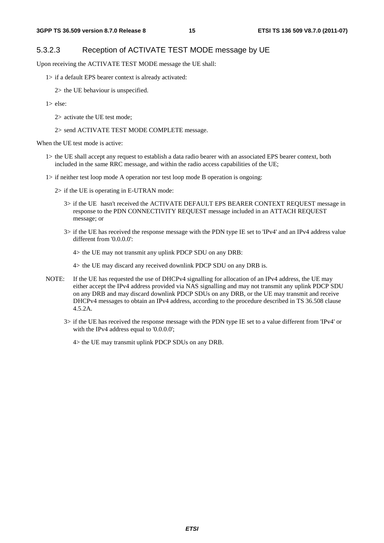#### 5.3.2.3 Reception of ACTIVATE TEST MODE message by UE

Upon receiving the ACTIVATE TEST MODE message the UE shall:

1> if a default EPS bearer context is already activated:

2> the UE behaviour is unspecified.

- $1$  else:
	- 2> activate the UE test mode;
	- 2> send ACTIVATE TEST MODE COMPLETE message.

When the UE test mode is active:

- 1> the UE shall accept any request to establish a data radio bearer with an associated EPS bearer context, both included in the same RRC message, and within the radio access capabilities of the UE;
- 1> if neither test loop mode A operation nor test loop mode B operation is ongoing:
	- 2> if the UE is operating in E-UTRAN mode:
		- 3> if the UE hasn't received the ACTIVATE DEFAULT EPS BEARER CONTEXT REQUEST message in response to the PDN CONNECTIVITY REQUEST message included in an ATTACH REQUEST message; or
		- 3> if the UE has received the response message with the PDN type IE set to 'IPv4' and an IPv4 address value different from '0.0.0.0':

4> the UE may not transmit any uplink PDCP SDU on any DRB:

4> the UE may discard any received downlink PDCP SDU on any DRB is.

- NOTE: If the UE has requested the use of DHCPv4 signalling for allocation of an IPv4 address, the UE may either accept the IPv4 address provided via NAS signalling and may not transmit any uplink PDCP SDU on any DRB and may discard downlink PDCP SDUs on any DRB, or the UE may transmit and receive DHCPv4 messages to obtain an IPv4 address, according to the procedure described in TS 36.508 clause 4.5.2A.
	- 3> if the UE has received the response message with the PDN type IE set to a value different from 'IPv4' or with the IPv4 address equal to '0.0.0.0';

4> the UE may transmit uplink PDCP SDUs on any DRB.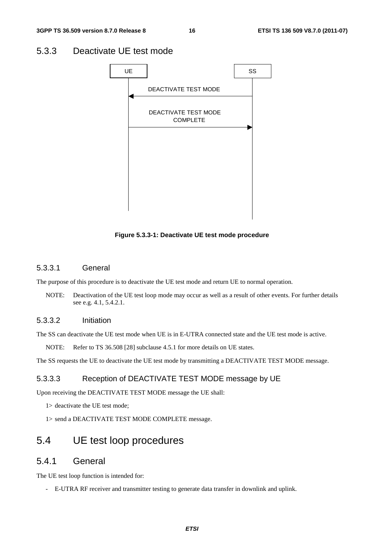### 5.3.3 Deactivate UE test mode

![](_page_16_Figure_4.jpeg)

**Figure 5.3.3-1: Deactivate UE test mode procedure** 

#### 5.3.3.1 General

The purpose of this procedure is to deactivate the UE test mode and return UE to normal operation.

NOTE: Deactivation of the UE test loop mode may occur as well as a result of other events. For further details see e.g. 4.1, 5.4.2.1.

#### 5.3.3.2 Initiation

The SS can deactivate the UE test mode when UE is in E-UTRA connected state and the UE test mode is active.

NOTE: Refer to TS 36.508 [28] subclause 4.5.1 for more details on UE states.

The SS requests the UE to deactivate the UE test mode by transmitting a DEACTIVATE TEST MODE message.

#### 5.3.3.3 Reception of DEACTIVATE TEST MODE message by UE

Upon receiving the DEACTIVATE TEST MODE message the UE shall:

1> deactivate the UE test mode;

1> send a DEACTIVATE TEST MODE COMPLETE message.

### 5.4 UE test loop procedures

#### 5.4.1 General

The UE test loop function is intended for:

- E-UTRA RF receiver and transmitter testing to generate data transfer in downlink and uplink.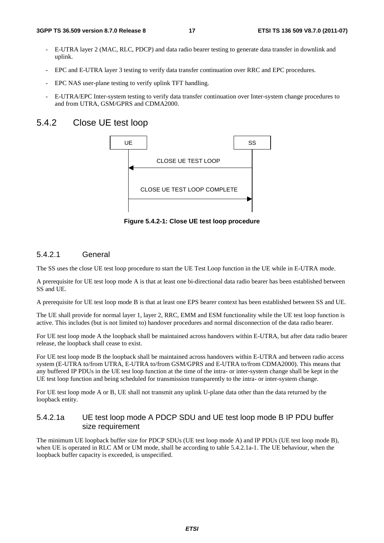- E-UTRA layer 2 (MAC, RLC, PDCP) and data radio bearer testing to generate data transfer in downlink and uplink.
- EPC and E-UTRA layer 3 testing to verify data transfer continuation over RRC and EPC procedures.
- EPC NAS user-plane testing to verify uplink TFT handling.
- E-UTRA/EPC Inter-system testing to verify data transfer continuation over Inter-system change procedures to and from UTRA, GSM/GPRS and CDMA2000.

#### 5.4.2 Close UE test loop

![](_page_17_Figure_8.jpeg)

**Figure 5.4.2-1: Close UE test loop procedure** 

#### 5.4.2.1 General

The SS uses the close UE test loop procedure to start the UE Test Loop function in the UE while in E-UTRA mode.

A prerequisite for UE test loop mode A is that at least one bi-directional data radio bearer has been established between SS and UE.

A prerequisite for UE test loop mode B is that at least one EPS bearer context has been established between SS and UE.

The UE shall provide for normal layer 1, layer 2, RRC, EMM and ESM functionality while the UE test loop function is active. This includes (but is not limited to) handover procedures and normal disconnection of the data radio bearer.

For UE test loop mode A the loopback shall be maintained across handovers within E-UTRA, but after data radio bearer release, the loopback shall cease to exist.

For UE test loop mode B the loopback shall be maintained across handovers within E-UTRA and between radio access system (E-UTRA to/from UTRA, E-UTRA to/from GSM/GPRS and E-UTRA to/from CDMA2000). This means that any buffered IP PDUs in the UE test loop function at the time of the intra- or inter-system change shall be kept in the UE test loop function and being scheduled for transmission transparently to the intra- or inter-system change.

For UE test loop mode A or B, UE shall not transmit any uplink U-plane data other than the data returned by the loopback entity.

#### 5.4.2.1a UE test loop mode A PDCP SDU and UE test loop mode B IP PDU buffer size requirement

The minimum UE loopback buffer size for PDCP SDUs (UE test loop mode A) and IP PDUs (UE test loop mode B), when UE is operated in RLC AM or UM mode, shall be according to table 5.4.2.1a-1. The UE behaviour, when the loopback buffer capacity is exceeded, is unspecified.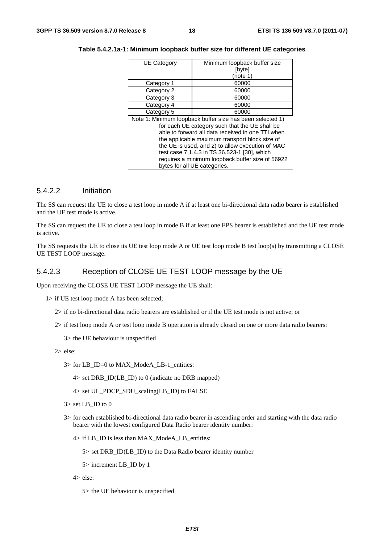| <b>UE Category</b>                           | Minimum loopback buffer size                              |  |  |  |  |
|----------------------------------------------|-----------------------------------------------------------|--|--|--|--|
|                                              | [byte]                                                    |  |  |  |  |
|                                              | (note 1)                                                  |  |  |  |  |
| Category 1                                   | 60000                                                     |  |  |  |  |
| Category 2                                   | 60000                                                     |  |  |  |  |
| Category 3                                   | 60000                                                     |  |  |  |  |
| Category 4                                   | 60000                                                     |  |  |  |  |
| Category 5                                   | 60000                                                     |  |  |  |  |
|                                              | Note 1: Minimum loopback buffer size has been selected 1) |  |  |  |  |
|                                              | for each UE category such that the UE shall be            |  |  |  |  |
|                                              | able to forward all data received in one TTI when         |  |  |  |  |
|                                              | the applicable maximum transport block size of            |  |  |  |  |
|                                              | the UE is used, and 2) to allow execution of MAC          |  |  |  |  |
| test case 7,1.4.3 in TS 36.523-1 [30], which |                                                           |  |  |  |  |
|                                              | requires a minimum loopback buffer size of 56922          |  |  |  |  |
|                                              | bytes for all UE categories.                              |  |  |  |  |

**Table 5.4.2.1a-1: Minimum loopback buffer size for different UE categories** 

#### 5.4.2.2 Initiation

The SS can request the UE to close a test loop in mode A if at least one bi-directional data radio bearer is established and the UE test mode is active.

The SS can request the UE to close a test loop in mode B if at least one EPS bearer is established and the UE test mode is active.

The SS requests the UE to close its UE test loop mode A or UE test loop mode B test loop(s) by transmitting a CLOSE UE TEST LOOP message.

#### 5.4.2.3 Reception of CLOSE UE TEST LOOP message by the UE

Upon receiving the CLOSE UE TEST LOOP message the UE shall:

- 1> if UE test loop mode A has been selected;
	- 2> if no bi-directional data radio bearers are established or if the UE test mode is not active; or
	- 2> if test loop mode A or test loop mode B operation is already closed on one or more data radio bearers:
		- 3> the UE behaviour is unspecified
	- 2> else:
		- 3> for LB\_ID=0 to MAX\_ModeA\_LB-1\_entities:

 $4>$  set DRB ID(LB ID) to 0 (indicate no DRB mapped)

- $4>$  set UL\_PDCP\_SDU\_scaling(LB\_ID) to FALSE
- 3> set LB\_ID to 0
- 3> for each established bi-directional data radio bearer in ascending order and starting with the data radio bearer with the lowest configured Data Radio bearer identity number:
	- 4> if LB\_ID is less than MAX\_ModeA\_LB\_entities:
		- 5> set DRB\_ID(LB\_ID) to the Data Radio bearer identity number
		- 5> increment LB\_ID by 1
	- 4> else:
		- 5> the UE behaviour is unspecified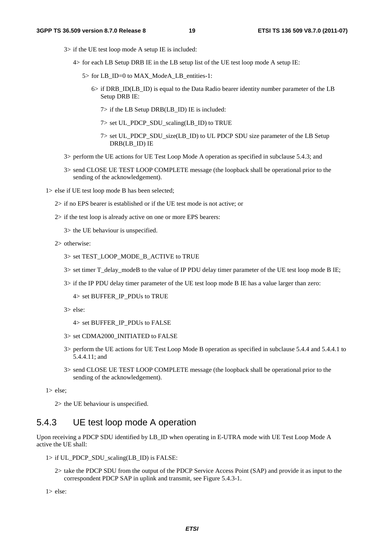- 3> if the UE test loop mode A setup IE is included:
	- 4> for each LB Setup DRB IE in the LB setup list of the UE test loop mode A setup IE:
		- 5> for LB\_ID=0 to MAX\_ModeA\_LB\_entities-1:
			- 6> if DRB\_ID(LB\_ID) is equal to the Data Radio bearer identity number parameter of the LB Setup DRB IE:
				- 7> if the LB Setup DRB(LB\_ID) IE is included:
				- 7> set UL\_PDCP\_SDU\_scaling(LB\_ID) to TRUE
				- 7> set UL\_PDCP\_SDU\_size(LB\_ID) to UL PDCP SDU size parameter of the LB Setup DRB(LB\_ID) IE
- 3> perform the UE actions for UE Test Loop Mode A operation as specified in subclause 5.4.3; and
- 3> send CLOSE UE TEST LOOP COMPLETE message (the loopback shall be operational prior to the sending of the acknowledgement).

1> else if UE test loop mode B has been selected;

- 2> if no EPS bearer is established or if the UE test mode is not active; or
- 2> if the test loop is already active on one or more EPS bearers:
	- 3> the UE behaviour is unspecified.
- 2> otherwise:
	- 3> set TEST\_LOOP\_MODE\_B\_ACTIVE to TRUE
	- 3> set timer T\_delay\_modeB to the value of IP PDU delay timer parameter of the UE test loop mode B IE;
	- 3> if the IP PDU delay timer parameter of the UE test loop mode B IE has a value larger than zero:

4> set BUFFER\_IP\_PDUs to TRUE

- 3> else:
	- 4> set BUFFER\_IP\_PDUs to FALSE
- 3> set CDMA2000\_INITIATED to FALSE
- 3> perform the UE actions for UE Test Loop Mode B operation as specified in subclause 5.4.4 and 5.4.4.1 to 5.4.4.11; and
- 3> send CLOSE UE TEST LOOP COMPLETE message (the loopback shall be operational prior to the sending of the acknowledgement).

1> else;

2> the UE behaviour is unspecified.

#### 5.4.3 UE test loop mode A operation

Upon receiving a PDCP SDU identified by LB\_ID when operating in E-UTRA mode with UE Test Loop Mode A active the UE shall:

- $1>$  if UL\_PDCP\_SDU\_scaling(LB\_ID) is FALSE:
	- 2> take the PDCP SDU from the output of the PDCP Service Access Point (SAP) and provide it as input to the correspondent PDCP SAP in uplink and transmit, see Figure 5.4.3-1.

1> else: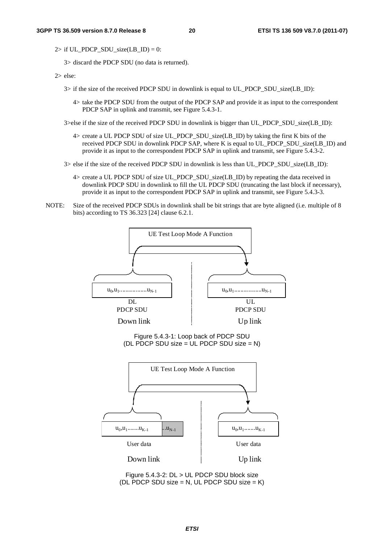2> if UL\_PDCP\_SDU\_size(LB\_ID) = 0:

3> discard the PDCP SDU (no data is returned).

2> else:

- 3> if the size of the received PDCP SDU in downlink is equal to UL\_PDCP\_SDU\_size(LB\_ID):
	- 4> take the PDCP SDU from the output of the PDCP SAP and provide it as input to the correspondent PDCP SAP in uplink and transmit, see Figure 5.4.3-1.

3>else if the size of the received PDCP SDU in downlink is bigger than UL\_PDCP\_SDU\_size(LB\_ID):

- 4> create a UL PDCP SDU of size UL\_PDCP\_SDU\_size(LB\_ID) by taking the first K bits of the received PDCP SDU in downlink PDCP SAP, where K is equal to UL\_PDCP\_SDU\_size(LB\_ID) and provide it as input to the correspondent PDCP SAP in uplink and transmit, see Figure 5.4.3-2.
- 3> else if the size of the received PDCP SDU in downlink is less than UL\_PDCP\_SDU\_size(LB\_ID):
	- 4> create a UL PDCP SDU of size UL\_PDCP\_SDU\_size(LB\_ID) by repeating the data received in downlink PDCP SDU in downlink to fill the UL PDCP SDU (truncating the last block if necessary), provide it as input to the correspondent PDCP SAP in uplink and transmit, see Figure 5.4.3-3.
- NOTE: Size of the received PDCP SDUs in downlink shall be bit strings that are byte aligned (i.e. multiple of 8 bits) according to TS 36.323 [24] clause 6.2.1.

![](_page_20_Figure_13.jpeg)

Figure 5.4.3-2: DL > UL PDCP SDU block size (DL PDCP SDU size =  $N$ , UL PDCP SDU size =  $K$ )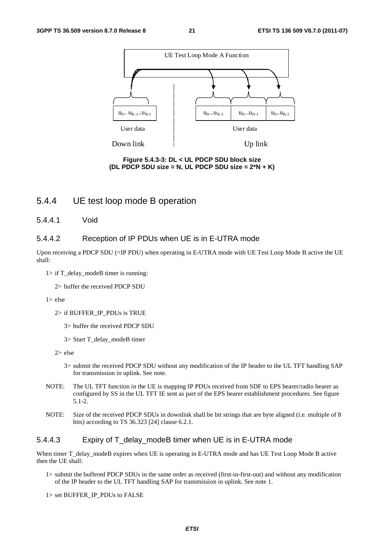![](_page_21_Figure_3.jpeg)

**Figure 5.4.3-3: DL < UL PDCP SDU block size (DL PDCP SDU size = N, UL PDCP SDU size = 2\*N + K)** 

#### 5.4.4 UE test loop mode B operation

5.4.4.1 Void

#### 5.4.4.2 Reception of IP PDUs when UE is in E-UTRA mode

Upon receiving a PDCP SDU (=IP PDU) when operating in E-UTRA mode with UE Test Loop Mode B active the UE shall:

 $1>$  if T\_delay\_modeB timer is running:

2> buffer the received PDCP SDU

- 1> else
	- 2> if BUFFER\_IP\_PDUs is TRUE
		- 3> buffer the received PDCP SDU
		- 3> Start T\_delay\_modeB timer
	- 2> else
		- 3> submit the received PDCP SDU without any modification of the IP header to the UL TFT handling SAP for transmission in uplink. See note.
- NOTE: The UL TFT function in the UE is mapping IP PDUs received from SDF to EPS bearer/radio bearer as configured by SS in the UL TFT IE sent as part of the EPS bearer establishment procedures. See figure 5.1-2.
- NOTE: Size of the received PDCP SDUs in downlink shall be bit strings that are byte aligned (i.e. multiple of 8 bits) according to TS 36.323 [24] clause 6.2.1.

#### 5.4.4.3 Expiry of T\_delay\_modeB timer when UE is in E-UTRA mode

When timer T\_delay\_modeB expires when UE is operating in E-UTRA mode and has UE Test Loop Mode B active then the UE shall:

- 1> submit the buffered PDCP SDUs in the same order as received (first-in-first-out) and without any modification of the IP header to the UL TFT handling SAP for transmission in uplink. See note 1.
- 1> set BUFFER\_IP\_PDUs to FALSE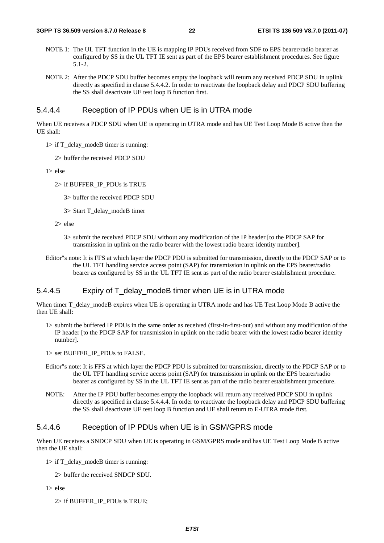- NOTE 1: The UL TFT function in the UE is mapping IP PDUs received from SDF to EPS bearer/radio bearer as configured by SS in the UL TFT IE sent as part of the EPS bearer establishment procedures. See figure 5.1-2.
- NOTE 2: After the PDCP SDU buffer becomes empty the loopback will return any received PDCP SDU in uplink directly as specified in clause 5.4.4.2. In order to reactivate the loopback delay and PDCP SDU buffering the SS shall deactivate UE test loop B function first.

#### 5.4.4.4 Reception of IP PDUs when UE is in UTRA mode

When UE receives a PDCP SDU when UE is operating in UTRA mode and has UE Test Loop Mode B active then the UE shall:

- $1>$  if T\_delay\_modeB timer is running:
	- 2> buffer the received PDCP SDU

 $1 > e$ lse

- 2> if BUFFER\_IP\_PDUs is TRUE
	- 3> buffer the received PDCP SDU
	- 3> Start T\_delay\_modeB timer

2> else

- 3> submit the received PDCP SDU without any modification of the IP header [to the PDCP SAP for transmission in uplink on the radio bearer with the lowest radio bearer identity number].
- Editor"s note: It is FFS at which layer the PDCP PDU is submitted for transmission, directly to the PDCP SAP or to the UL TFT handling service access point (SAP) for transmission in uplink on the EPS bearer/radio bearer as configured by SS in the UL TFT IE sent as part of the radio bearer establishment procedure.

#### 5.4.4.5 Expiry of T\_delay\_modeB timer when UE is in UTRA mode

When timer T\_delay\_modeB expires when UE is operating in UTRA mode and has UE Test Loop Mode B active the then UE shall:

- 1> submit the buffered IP PDUs in the same order as received (first-in-first-out) and without any modification of the IP header [to the PDCP SAP for transmission in uplink on the radio bearer with the lowest radio bearer identity number].
- 1> set BUFFER\_IP\_PDUs to FALSE.
- Editor"s note: It is FFS at which layer the PDCP PDU is submitted for transmission, directly to the PDCP SAP or to the UL TFT handling service access point (SAP) for transmission in uplink on the EPS bearer/radio bearer as configured by SS in the UL TFT IE sent as part of the radio bearer establishment procedure.
- NOTE: After the IP PDU buffer becomes empty the loopback will return any received PDCP SDU in uplink directly as specified in clause 5.4.4.4. In order to reactivate the loopback delay and PDCP SDU buffering the SS shall deactivate UE test loop B function and UE shall return to E-UTRA mode first.

#### 5.4.4.6 Reception of IP PDUs when UE is in GSM/GPRS mode

When UE receives a SNDCP SDU when UE is operating in GSM/GPRS mode and has UE Test Loop Mode B active then the UE shall:

- 1> if T\_delay\_modeB timer is running:
	- 2> buffer the received SNDCP SDU.
- 1> else
	- 2> if BUFFER\_IP\_PDUs is TRUE;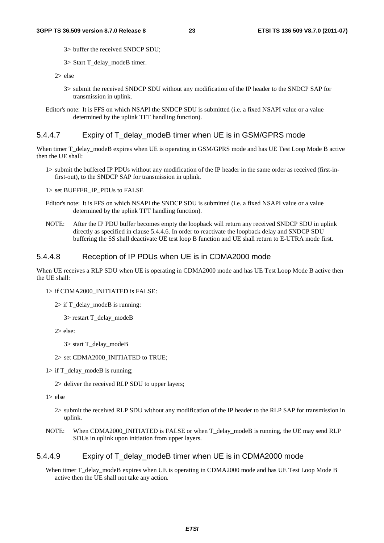- 3> buffer the received SNDCP SDU;
- 3> Start T\_delay\_modeB timer.
- 2> else
	- 3> submit the received SNDCP SDU without any modification of the IP header to the SNDCP SAP for transmission in uplink.
- Editor's note: It is FFS on which NSAPI the SNDCP SDU is submitted (i.e. a fixed NSAPI value or a value determined by the uplink TFT handling function).

#### 5.4.4.7 Expiry of T\_delay\_modeB timer when UE is in GSM/GPRS mode

When timer T\_delay\_modeB expires when UE is operating in GSM/GPRS mode and has UE Test Loop Mode B active then the UE shall:

1> submit the buffered IP PDUs without any modification of the IP header in the same order as received (first-infirst-out), to the SNDCP SAP for transmission in uplink.

1> set BUFFER\_IP\_PDUs to FALSE

- Editor's note: It is FFS on which NSAPI the SNDCP SDU is submitted (i.e. a fixed NSAPI value or a value determined by the uplink TFT handling function).
- NOTE: After the IP PDU buffer becomes empty the loopback will return any received SNDCP SDU in uplink directly as specified in clause 5.4.4.6. In order to reactivate the loopback delay and SNDCP SDU buffering the SS shall deactivate UE test loop B function and UE shall return to E-UTRA mode first.

#### 5.4.4.8 Reception of IP PDUs when UE is in CDMA2000 mode

When UE receives a RLP SDU when UE is operating in CDMA2000 mode and has UE Test Loop Mode B active then the UE shall:

#### 1> if CDMA2000\_INITIATED is FALSE:

2> if T\_delay\_modeB is running:

3> restart T\_delay\_modeB

2> else:

3> start T\_delay\_modeB

#### 2> set CDMA2000\_INITIATED to TRUE;

 $1>$  if T\_delay\_modeB is running;

2> deliver the received RLP SDU to upper layers;

1> else

- 2> submit the received RLP SDU without any modification of the IP header to the RLP SAP for transmission in uplink.
- NOTE: When CDMA2000\_INITIATED is FALSE or when T\_delay\_modeB is running, the UE may send RLP SDUs in uplink upon initiation from upper layers.

#### 5.4.4.9 Expiry of T\_delay\_modeB timer when UE is in CDMA2000 mode

When timer T\_delay\_modeB expires when UE is operating in CDMA2000 mode and has UE Test Loop Mode B active then the UE shall not take any action.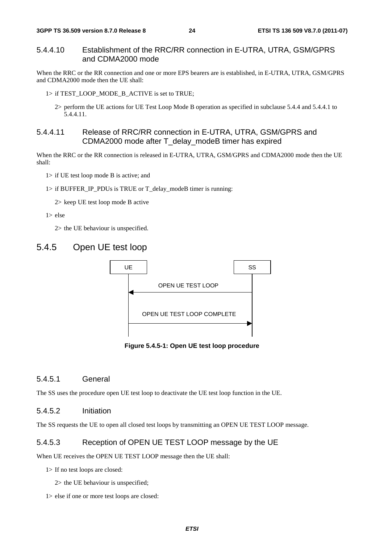#### 5.4.4.10 Establishment of the RRC/RR connection in E-UTRA, UTRA, GSM/GPRS and CDMA2000 mode

When the RRC or the RR connection and one or more EPS bearers are is established, in E-UTRA, UTRA, GSM/GPRS and CDMA2000 mode then the UE shall:

1> if TEST\_LOOP\_MODE\_B\_ACTIVE is set to TRUE;

2> perform the UE actions for UE Test Loop Mode B operation as specified in subclause 5.4.4 and 5.4.4.1 to 5.4.4.11.

#### 5.4.4.11 Release of RRC/RR connection in E-UTRA, UTRA, GSM/GPRS and CDMA2000 mode after T\_delay\_modeB timer has expired

When the RRC or the RR connection is released in E-UTRA, UTRA, GSM/GPRS and CDMA2000 mode then the UE shall:

1> if UE test loop mode B is active; and

1> if BUFFER\_IP\_PDUs is TRUE or T\_delay\_modeB timer is running:

2> keep UE test loop mode B active

#### 1> else

2> the UE behaviour is unspecified.

#### 5.4.5 Open UE test loop

![](_page_24_Figure_15.jpeg)

**Figure 5.4.5-1: Open UE test loop procedure** 

#### 5.4.5.1 General

The SS uses the procedure open UE test loop to deactivate the UE test loop function in the UE.

#### 5.4.5.2 Initiation

The SS requests the UE to open all closed test loops by transmitting an OPEN UE TEST LOOP message.

#### 5.4.5.3 Reception of OPEN UE TEST LOOP message by the UE

When UE receives the OPEN UE TEST LOOP message then the UE shall:

1> If no test loops are closed:

2> the UE behaviour is unspecified;

1> else if one or more test loops are closed: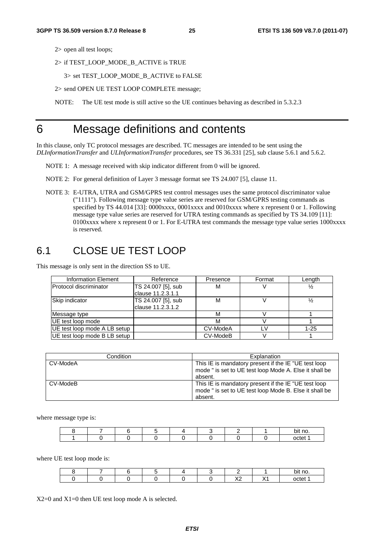2> open all test loops;

2> if TEST\_LOOP\_MODE\_B\_ACTIVE is TRUE

3> set TEST\_LOOP\_MODE\_B\_ACTIVE to FALSE

2> send OPEN UE TEST LOOP COMPLETE message;

NOTE: The UE test mode is still active so the UE continues behaving as described in 5.3.2.3

### 6 Message definitions and contents

In this clause, only TC protocol messages are described. TC messages are intended to be sent using the *DLInformationTransfer* and *ULInformationTransfer* procedures, see TS 36.331 [25], sub clause 5.6.1 and 5.6.2.

NOTE 1: A message received with skip indicator different from 0 will be ignored.

- NOTE 2: For general definition of Layer 3 message format see TS 24.007 [5], clause 11.
- NOTE 3: E-UTRA, UTRA and GSM/GPRS test control messages uses the same protocol discriminator value ("1111"). Following message type value series are reserved for GSM/GPRS testing commands as specified by TS 44.014 [33]: 0000xxxx, 0001xxxx and 0010xxxx where x represent 0 or 1. Following message type value series are reserved for UTRA testing commands as specified by TS 34.109 [11]: 0100xxxx where x represent 0 or 1. For E-UTRA test commands the message type value series 1000xxxx is reserved.

### 6.1 CLOSE UE TEST LOOP

This message is only sent in the direction SS to UE.

| <b>Information Element</b>   | Reference          | Presence | Format | Length   |
|------------------------------|--------------------|----------|--------|----------|
| IProtocol discriminator      | TS 24.007 [5], sub | м        |        |          |
|                              | clause 11.2.3.1.1  |          |        |          |
| Skip indicator               | TS 24.007 [5], sub | м        |        |          |
|                              | clause 11.2.3.1.2  |          |        |          |
| Message type                 |                    | M        |        |          |
| UE test loop mode            |                    | M        |        |          |
| UE test loop mode A LB setup |                    | CV-ModeA | ΙV     | $1 - 25$ |
| UE test loop mode B LB setup |                    | CV-ModeB |        |          |

| Condition | Explanation                                                                                                               |
|-----------|---------------------------------------------------------------------------------------------------------------------------|
| CV-ModeA  | This IE is mandatory present if the IE "UE test loop<br>mode " is set to UE test loop Mode A. Else it shall be<br>absent. |
| CV-ModeB  | This IE is mandatory present if the IE "UE test loop<br>mode " is set to UE test loop Mode B. Else it shall be<br>absent. |

where message type is:

|  |  |  |  | bit no. |
|--|--|--|--|---------|
|  |  |  |  | octet   |

where UE test loop mode is:

|  |  |  |                             |    | יי no.  |
|--|--|--|-----------------------------|----|---------|
|  |  |  | $\sqrt{c}$<br>$\sim$<br>$-$ | ៶៸ | nctet 1 |

X2=0 and X1=0 then UE test loop mode A is selected.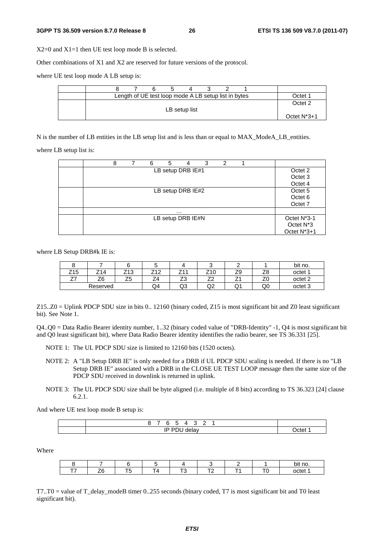X2=0 and X1=1 then UE test loop mode B is selected.

Other combinations of X1 and X2 are reserved for future versions of the protocol.

where UE test loop mode A LB setup is:

|  |  |               | Length of UE test loop mode A LB setup list in bytes |  | )ctet          |
|--|--|---------------|------------------------------------------------------|--|----------------|
|  |  | LB setup list |                                                      |  | Octet 2        |
|  |  |               |                                                      |  | Octet $N^*3+1$ |

N is the number of LB entities in the LB setup list and is less than or equal to MAX\_ModeA\_LB\_entities.

where LB setup list is:

| 8 | 6 | 5 | 4                 | 3 | 2 |  |                                                      |
|---|---|---|-------------------|---|---|--|------------------------------------------------------|
|   |   |   | LB setup DRB IE#1 |   |   |  | Octet 2<br>Octet <sub>3</sub><br>Octet 4             |
|   |   |   | LB setup DRB IE#2 |   |   |  | Octet 5<br>Octet <sub>6</sub><br>Octet 7             |
|   |   |   | $\cdots$          |   |   |  |                                                      |
|   |   |   | LB setup DRB IE#N |   |   |  | Octet N*3-1<br>Octet N <sup>*</sup> 3<br>Octet N*3+1 |

where LB Setup DRB#k IE is:

|           |          |                  |                    |    |                                |               |    | bit no.            |
|-----------|----------|------------------|--------------------|----|--------------------------------|---------------|----|--------------------|
| Z15       | ıΔ       | Z13              | $\sim$<br>. .<br>_ | _  | <u> 1 u</u>                    | 70<br>◡<br>∠ວ | ∠⊂ | octet <sup>1</sup> |
| --<br>. . | Z6       | --<br>้ เร<br>ںے | - 1                | ںے | $\overline{\phantom{a}}$<br>-- | -<br><u>_</u> | ∠⊾ | octet <sub>2</sub> |
|           | Reserved |                  | Q4                 | wo | 'N<br>◡                        | $\sim$        | QÜ | octet?             |

Z15..Z0 = Uplink PDCP SDU size in bits 0.. 12160 (binary coded, Z15 is most significant bit and Z0 least significant bit). See Note 1.

Q4..Q0 = Data Radio Bearer identity number, 1..32 (binary coded value of "DRB-Identity" -1, Q4 is most significant bit and Q0 least significant bit), where Data Radio Bearer identity identifies the radio bearer, see TS 36.331 [25].

NOTE 1: The UL PDCP SDU size is limited to 12160 bits (1520 octets).

- NOTE 2: A "LB Setup DRB IE" is only needed for a DRB if UL PDCP SDU scaling is needed. If there is no "LB Setup DRB IE" associated with a DRB in the CLOSE UE TEST LOOP message then the same size of the PDCP SDU received in downlink is returned in uplink.
- NOTE 3: The UL PDCP SDU size shall be byte aligned (i.e. multiple of 8 bits) according to TS 36.323 [24] clause 6.2.1.

And where UE test loop mode B setup is:

| -       |       |
|---------|-------|
| סו<br>ш | `^†יי |

Where

|     |    |        |   |  | no.<br>Юľ |
|-----|----|--------|---|--|-----------|
| - - | __ | $\sim$ | _ |  | octet     |

T7..T0 = value of T\_delay\_modeB timer 0..255 seconds (binary coded, T7 is most significant bit and T0 least significant bit).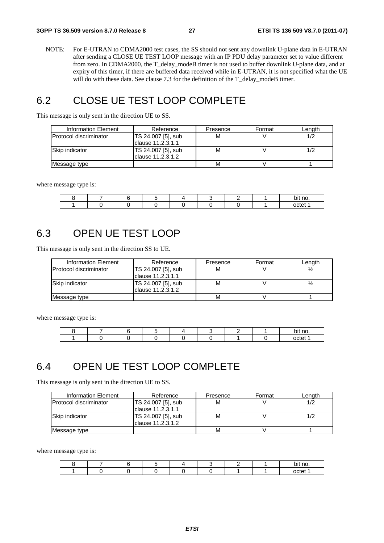NOTE: For E-UTRAN to CDMA2000 test cases, the SS should not sent any downlink U-plane data in E-UTRAN after sending a CLOSE UE TEST LOOP message with an IP PDU delay parameter set to value different from zero. In CDMA2000, the T\_delay\_modeB timer is not used to buffer downlink U-plane data, and at expiry of this timer, if there are buffered data received while in E-UTRAN, it is not specified what the UE will do with these data. See clause 7.3 for the definition of the T\_delay\_modeB timer.

### 6.2 CLOSE UE TEST LOOP COMPLETE

This message is only sent in the direction UE to SS.

| Information Element            | Reference          | Presence | Format | Length |
|--------------------------------|--------------------|----------|--------|--------|
| <b>IProtocol discriminator</b> | TS 24.007 [5], sub | М        |        |        |
|                                | clause 11.2.3.1.1  |          |        |        |
| <b>Skip indicator</b>          | TS 24.007 [5], sub | М        |        |        |
|                                | Iclause 11.2.3.1.2 |          |        |        |
| Message type                   |                    | М        |        |        |

where message type is:

|  |  |  |  | bit no. |
|--|--|--|--|---------|
|  |  |  |  | octet   |

### 6.3 OPEN UE TEST LOOP

This message is only sent in the direction SS to UE.

| Information Element    | Reference          | Presence | Format | Lenath |
|------------------------|--------------------|----------|--------|--------|
| Protocol discriminator | TS 24.007 [5], sub | м        |        |        |
|                        | Iclause 11.2.3.1.1 |          |        |        |
| Skip indicator         | TS 24.007 [5], sub | м        |        |        |
|                        | Iclause 11.2.3.1.2 |          |        |        |
| Message type           |                    | M        |        |        |

where message type is:

|  |  |  |  | bit no. |
|--|--|--|--|---------|
|  |  |  |  | ∩∩tet   |

### 6.4 OPEN UE TEST LOOP COMPLETE

This message is only sent in the direction UE to SS.

| Information Element    | Reference                                | Presence | Format | Lenath |
|------------------------|------------------------------------------|----------|--------|--------|
| Protocol discriminator | TS 24.007 [5], sub<br>clause 11.2.3.1.1  | M        |        |        |
| Skip indicator         | TS 24.007 [5], sub<br>Iclause 11.2.3.1.2 | M        |        |        |
| Message type           |                                          | M        |        |        |

where message type is:

|  |  |  |  | bit no. |
|--|--|--|--|---------|
|  |  |  |  | octet   |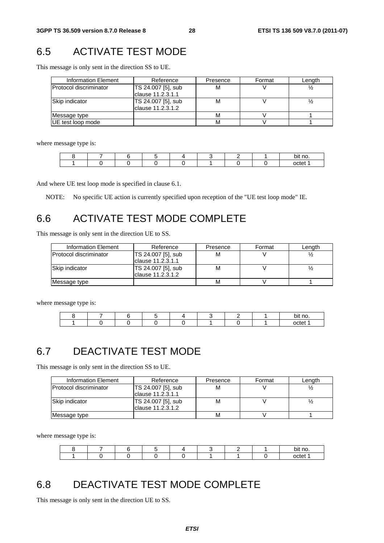# 6.5 ACTIVATE TEST MODE

This message is only sent in the direction SS to UE.

| Information Element           | Reference                               | Presence | Format | Length |
|-------------------------------|-----------------------------------------|----------|--------|--------|
| <b>Protocol discriminator</b> | TS 24.007 [5], sub<br>clause 11.2.3.1.1 | м        |        |        |
| Skip indicator                | TS 24.007 [5], sub<br>clause 11.2.3.1.2 | М        |        |        |
| Message type                  |                                         | М        |        |        |
| UE test loop mode             |                                         | М        |        |        |

where message type is:

|  |  |  |  | bit no. |
|--|--|--|--|---------|
|  |  |  |  | octet   |

And where UE test loop mode is specified in clause 6.1.

NOTE: No specific UE action is currently specified upon reception of the "UE test loop mode" IE.

# 6.6 ACTIVATE TEST MODE COMPLETE

This message is only sent in the direction UE to SS.

| Information Element            | Reference          | Presence | Format | Length |
|--------------------------------|--------------------|----------|--------|--------|
| <b>IProtocol discriminator</b> | TS 24.007 [5], sub | M        |        |        |
|                                | Iclause 11.2.3.1.1 |          |        |        |
| <b>Skip indicator</b>          | TS 24.007 [5], sub | м        |        |        |
|                                | lclause 11.2.3.1.2 |          |        |        |
| Message type                   |                    | М        |        |        |

where message type is:

|  |  |  |  | bit no. |
|--|--|--|--|---------|
|  |  |  |  | nctet   |

### 6.7 DEACTIVATE TEST MODE

This message is only sent in the direction SS to UE.

| Information Element           | Reference          | Presence | Format | Length |
|-------------------------------|--------------------|----------|--------|--------|
| <b>Protocol discriminator</b> | TS 24.007 [5], sub | М        |        |        |
|                               | Iclause 11.2.3.1.1 |          |        |        |
| Skip indicator                | TS 24.007 [5], sub | М        |        |        |
|                               | lclause 11.2.3.1.2 |          |        |        |
| Message type                  |                    | М        |        |        |

where message type is:

|  |  |  |  | bit no. |
|--|--|--|--|---------|
|  |  |  |  | octet   |

### 6.8 DEACTIVATE TEST MODE COMPLETE

This message is only sent in the direction UE to SS.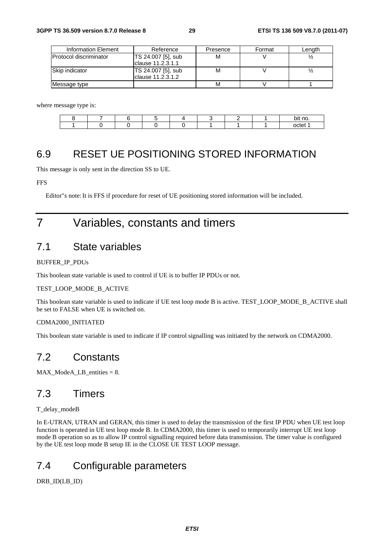| Information Element           | Reference          | Presence | Format | Lenath |
|-------------------------------|--------------------|----------|--------|--------|
| <b>Protocol discriminator</b> | TS 24.007 [5], sub | м        |        |        |
|                               | Iclause 11.2.3.1.1 |          |        |        |
| Skip indicator                | TS 24.007 [5], sub | М        |        |        |
|                               | Iclause 11.2.3.1.2 |          |        |        |
| Message type                  |                    | М        |        |        |

where message type is:

|  |  |  |  | bit no. |
|--|--|--|--|---------|
|  |  |  |  | $-$     |

### 6.9 RESET UE POSITIONING STORED INFORMATION

This message is only sent in the direction SS to UE.

#### FFS

Editor"s note: It is FFS if procedure for reset of UE positioning stored information will be included.

# 7 Variables, constants and timers

### 7.1 State variables

#### BUFFER\_IP\_PDUs

This boolean state variable is used to control if UE is to buffer IP PDUs or not.

#### TEST\_LOOP\_MODE\_B\_ACTIVE

This boolean state variable is used to indicate if UE test loop mode B is active. TEST\_LOOP\_MODE\_B\_ACTIVE shall be set to FALSE when UE is switched on.

#### CDMA2000\_INITIATED

This boolean state variable is used to indicate if IP control signalling was initiated by the network on CDMA2000.

### 7.2 Constants

MAX\_ModeA\_LB\_entities = 8.

### 7.3 Timers

#### T\_delay\_modeB

In E-UTRAN, UTRAN and GERAN, this timer is used to delay the transmission of the first IP PDU when UE test loop function is operated in UE test loop mode B. In CDMA2000, this timer is used to temporarily interrupt UE test loop mode B operation so as to allow IP control signalling required before data transmission. The timer value is configured by the UE test loop mode B setup IE in the CLOSE UE TEST LOOP message.

### 7.4 Configurable parameters

DRB\_ID(LB\_ID)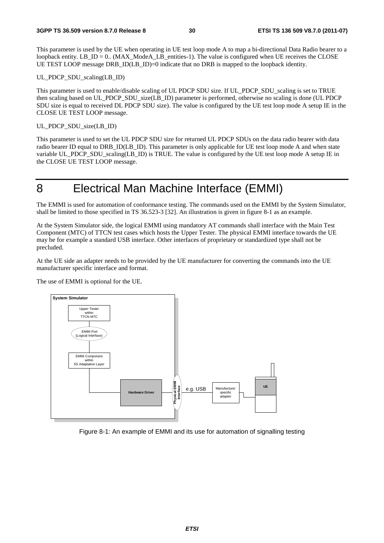This parameter is used by the UE when operating in UE test loop mode A to map a bi-directional Data Radio bearer to a loopback entity. LB  $ID = 0$ . (MAX ModeA LB entities-1). The value is configured when UE receives the CLOSE UE TEST LOOP message DRB\_ID(LB\_ID)=0 indicate that no DRB is mapped to the loopback identity.

#### UL PDCP SDU scaling(LB\_ID)

This parameter is used to enable/disable scaling of UL PDCP SDU size. If UL PDCP SDU scaling is set to TRUE then scaling based on UL\_PDCP\_SDU\_size(LB\_ID) parameter is performed, otherwise no scaling is done (UL PDCP SDU size is equal to received DL PDCP SDU size). The value is configured by the UE test loop mode A setup IE in the CLOSE UE TEST LOOP message.

#### UL\_PDCP\_SDU\_size(LB\_ID)

This parameter is used to set the UL PDCP SDU size for returned UL PDCP SDUs on the data radio bearer with data radio bearer ID equal to DRB\_ID(LB\_ID). This parameter is only applicable for UE test loop mode A and when state variable UL\_PDCP\_SDU\_scaling(LB\_ID) is TRUE. The value is configured by the UE test loop mode A setup IE in the CLOSE UE TEST LOOP message.

### 8 Electrical Man Machine Interface (EMMI)

The EMMI is used for automation of conformance testing. The commands used on the EMMI by the System Simulator, shall be limited to those specified in TS 36.523-3 [32]. An illustration is given in figure 8-1 as an example.

At the System Simulator side, the logical EMMI using mandatory AT commands shall interface with the Main Test Component (MTC) of TTCN test cases which hosts the Upper Tester. The physical EMMI interface towards the UE may be for example a standard USB interface. Other interfaces of proprietary or standardized type shall not be precluded.

At the UE side an adapter needs to be provided by the UE manufacturer for converting the commands into the UE manufacturer specific interface and format.

The use of EMMI is optional for the UE.

![](_page_30_Figure_13.jpeg)

Figure 8-1: An example of EMMI and its use for automation of signalling testing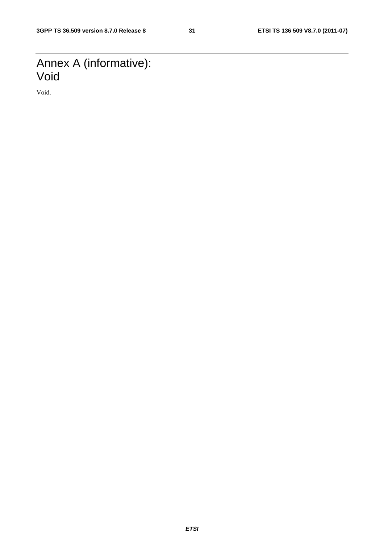# Annex A (informative): Void

Void.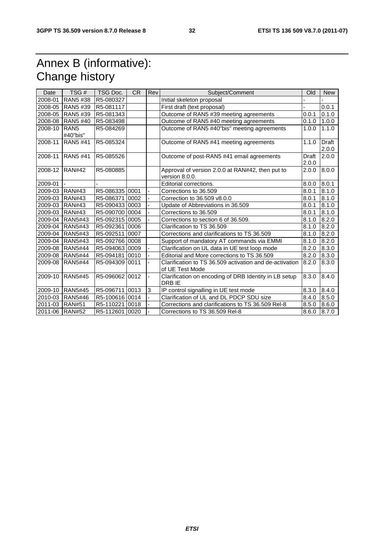# Annex B (informative): Change history

| Date           | TSG#                         | TSG Doc.       | <b>CR</b> | Rev | Subject/Comment                                                            | Old            | <b>New</b>            |
|----------------|------------------------------|----------------|-----------|-----|----------------------------------------------------------------------------|----------------|-----------------------|
| 2008-01        | RAN5 #38                     | R5-080327      |           |     | Initial skeleton proposal                                                  |                |                       |
| 2008-05        | <b>RAN5#39</b>               | R5-081117      |           |     | First draft (text proposal)                                                |                | 0.0.1                 |
| 2008-05        | RAN5 #39                     | R5-081343      |           |     | Outcome of RAN5 #39 meeting agreements                                     | 0.0.1          | 0.1.0                 |
| 2008-08        | <b>RAN5 #40</b>              | R5-083498      |           |     | Outcome of RAN5 #40 meeting agreements                                     | 0.1.0          | 1.0.0                 |
| 2008-10        | RAN <sub>5</sub><br>#40"bis" | R5-084269      |           |     | Outcome of RAN5 #40"bis" meeting agreements                                | 1.0.0          | 1.1.0                 |
| 2008-11        | RAN5 #41                     | R5-085324      |           |     | Outcome of RAN5 #41 meeting agreements                                     | 1.1.0          | <b>Draft</b><br>2.0.0 |
| 2008-11        | RAN5 #41                     | R5-085526      |           |     | Outcome of post-RAN5 #41 email agreements                                  | Draft<br>2.0.0 | $\overline{2.0.0}$    |
| 2008-12        | <b>RAN#42</b>                | R5-080885      |           |     | Approval of version 2.0.0 at RAN#42, then put to<br>version 8.0.0.         | 2.0.0          | 8.0.0                 |
| 2009-01        |                              |                |           |     | Editorial corrections.                                                     | 8.0.0          | 8.0.1                 |
| 2009-03        | <b>RAN#43</b>                | R5-086335 0001 |           |     | Corrections to 36.509                                                      | 8.0.1          | 8.1.0                 |
| 2009-03        | <b>RAN#43</b>                | R5-086371 0002 |           |     | Correction to 36.509 v8.0.0                                                | 8.0.1          | 8.1.0                 |
| 2009-03        | <b>RAN#43</b>                | R5-090433 0003 |           |     | Update of Abbreviations in 36.509                                          | 8.0.1          | 8.1.0                 |
| 2009-03        | <b>RAN#43</b>                | R5-090700 0004 |           |     | Corrections to 36.509                                                      | 8.0.1          | 8.1.0                 |
| 2009-04        | <b>RAN5#43</b>               | R5-09231510005 |           |     | Corrections to section 6 of 36.509.                                        | 8.1.0          | 8.2.0                 |
| 2009-04        | <b>RAN5#43</b>               | R5-092361 0006 |           |     | Clarification to TS 36.509                                                 | 8.1.0          | 8.2.0                 |
| 2009-04        | <b>RAN5#43</b>               | R5-092511 0007 |           |     | Corrections and clarifications to TS 36.509                                | 8.1.0          | 8.2.0                 |
| 2009-04        | RAN5#43                      | R5-09276610008 |           |     | Support of mandatory AT commands via EMMI                                  | 8.1.0          | 8.2.0                 |
| 2009-08        | <b>RAN5#44</b>               | R5-09406310009 |           |     | Clarification on UL data in UE test loop mode                              | 8.2.0          | 8.3.0                 |
| 2009-08        | <b>RAN5#44</b>               | R5-094181 0010 |           |     | Editorial and More corrections to TS 36.509                                | 8.2.0          | 8.3.0                 |
| 2009-08        | <b>RAN5#44</b>               | R5-094309 0011 |           |     | Clarification to TS 36.509 activation and de-activation<br>of UE Test Mode | 8.2.0          | 8.3.0                 |
| 2009-10        | <b>RAN5#45</b>               | R5-09606210012 |           |     | Clarification on encoding of DRB Identity in LB setup<br>DRB IE            | 8.3.0          | 8.4.0                 |
| 2009-10        | <b>RAN5#45</b>               | R5-096711 0013 |           | 3   | IP control signalling in UE test mode                                      | 8.3.0          | 8.4.0                 |
| 2010-03        | <b>RAN5#46</b>               | R5-100616 0014 |           |     | Clarification of UL and DL PDCP SDU size                                   | 8.4.0          | 8.5.0                 |
| 2011-03        | <b>RAN#51</b>                | R5-110221 0018 |           |     | Corrections and clarifications to TS 36.509 Rel-8                          | 8.5.0          | 8.6.0                 |
| 2011-06 RAN#52 |                              | R5-112601 0020 |           |     | Corrections to TS 36.509 Rel-8                                             | 8.6.0          | 8.7.0                 |